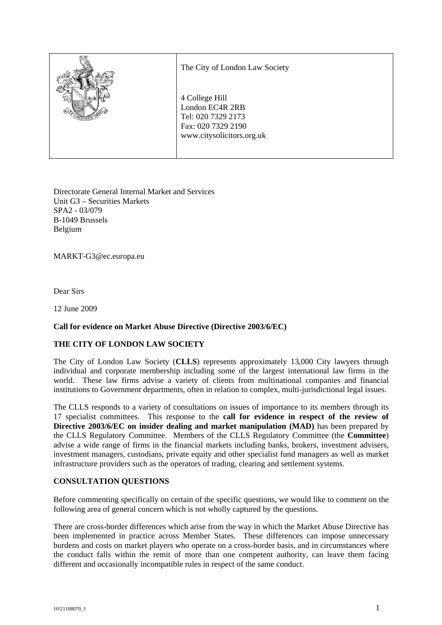

Directorate General Internal Market and Services Unit G3 – Securities Markets SPA2 - 03/079 B-1049 Brussels Belgium

MARKT-G3@ec.europa.eu

Dear Sirs

12 June 2009

## **Call for evidence on Market Abuse Directive (Directive 2003/6/EC)**

## **THE CITY OF LONDON LAW SOCIETY**

The City of London Law Society (**CLLS**) represents approximately 13,000 City lawyers through individual and corporate membership including some of the largest international law firms in the world. These law firms advise a variety of clients from multinational companies and financial institutions to Government departments, often in relation to complex, multi-jurisdictional legal issues.

The CLLS responds to a variety of consultations on issues of importance to its members through its 17 specialist committees. This response to the **call for evidence in respect of the review of Directive 2003/6/EC on insider dealing and market manipulation (MAD)** has been prepared by the CLLS Regulatory Committee. Members of the CLLS Regulatory Committee (the **Committee**) advise a wide range of firms in the financial markets including banks, brokers, investment advisers, investment managers, custodians, private equity and other specialist fund managers as well as market infrastructure providers such as the operators of trading, clearing and settlement systems.

## **CONSULTATION QUESTIONS**

Before commenting specifically on certain of the specific questions, we would like to comment on the following area of general concern which is not wholly captured by the questions.

There are cross-border differences which arise from the way in which the Market Abuse Directive has been implemented in practice across Member States. These differences can impose unnecessary burdens and costs on market players who operate on a cross-border basis, and in circumstances where the conduct falls within the remit of more than one competent authority, can leave them facing different and occasionally incompatible rules in respect of the same conduct.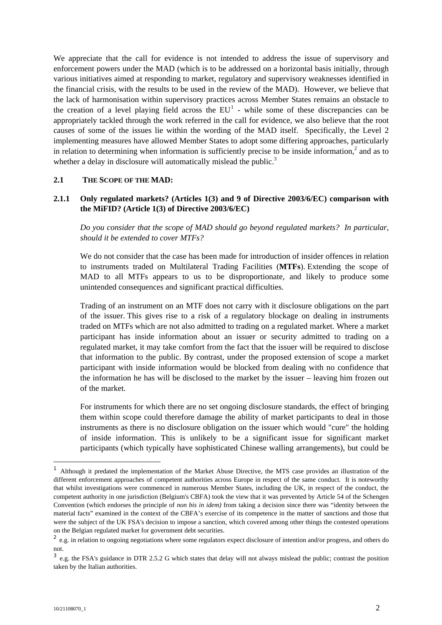We appreciate that the call for evidence is not intended to address the issue of supervisory and enforcement powers under the MAD (which is to be addressed on a horizontal basis initially, through various initiatives aimed at responding to market, regulatory and supervisory weaknesses identified in the financial crisis, with the results to be used in the review of the MAD). However, we believe that the lack of harmonisation within supervisory practices across Member States remains an obstacle to thecreation of a level playing field across the  $EU<sup>1</sup>$  - while some of these discrepancies can be appropriately tackled through the work referred in the call for evidence, we also believe that the root causes of some of the issues lie within the wording of the MAD itself. Specifically, the Level 2 implementing measures have allowed Member States to adopt some differing approaches, particularly in relation to determining when information is sufficiently precise to be inside information,<sup>2</sup> [a](#page-1-1)nd as to whether a delay in disclosure will automatically mislead the public. $3$ 

#### **2.1 THE SCOPE OF THE MAD:**

## **2.1.1 Only regulated markets? (Articles 1(3) and 9 of Directive 2003/6/EC) comparison with the MiFID? (Article 1(3) of Directive 2003/6/EC)**

*Do you consider that the scope of MAD should go beyond regulated markets? In particular, should it be extended to cover MTFs?* 

We do not consider that the case has been made for introduction of insider offences in relation to instruments traded on Multilateral Trading Facilities (**MTFs**). Extending the scope of MAD to all MTFs appears to us to be disproportionate, and likely to produce some unintended consequences and significant practical difficulties.

Trading of an instrument on an MTF does not carry with it disclosure obligations on the part of the issuer. This gives rise to a risk of a regulatory blockage on dealing in instruments traded on MTFs which are not also admitted to trading on a regulated market. Where a market participant has inside information about an issuer or security admitted to trading on a regulated market, it may take comfort from the fact that the issuer will be required to disclose that information to the public. By contrast, under the proposed extension of scope a market participant with inside information would be blocked from dealing with no confidence that the information he has will be disclosed to the market by the issuer – leaving him frozen out of the market.

For instruments for which there are no set ongoing disclosure standards, the effect of bringing them within scope could therefore damage the ability of market participants to deal in those instruments as there is no disclosure obligation on the issuer which would "cure" the holding of inside information. This is unlikely to be a significant issue for significant market participants (which typically have sophisticated Chinese walling arrangements), but could be

<span id="page-1-0"></span><sup>&</sup>lt;sup>1</sup> Although it predated the implementation of the Market Abuse Directive, the MTS case provides an illustration of the different enforcement approaches of competent authorities across Europe in respect of the same conduct. It is noteworthy that whilst investigations were commenced in numerous Member States, including the UK, in respect of the conduct, the competent authority in one jurisdiction (Belgium's CBFA) took the view that it was prevented by Article 54 of the Schengen Convention (which endorses the principle of *non bis in idem)* from taking a decision since there was "identity between the material facts" examined in the context of the CBFA's exercise of its competence in the matter of sanctions and those that were the subject of the UK FSA's decision to impose a sanction, which covered among other things the contested operations on the Belgian regulated market for government debt securities.

<span id="page-1-1"></span><sup>&</sup>lt;sup>2</sup> e.g. in relation to ongoing negotiations where some regulators expect disclosure of intention and/or progress, and others do not.

<span id="page-1-2"></span><sup>3</sup> e.g. the FSA's guidance in DTR 2.5.2 G which states that delay will not always mislead the public; contrast the position taken by the Italian authorities.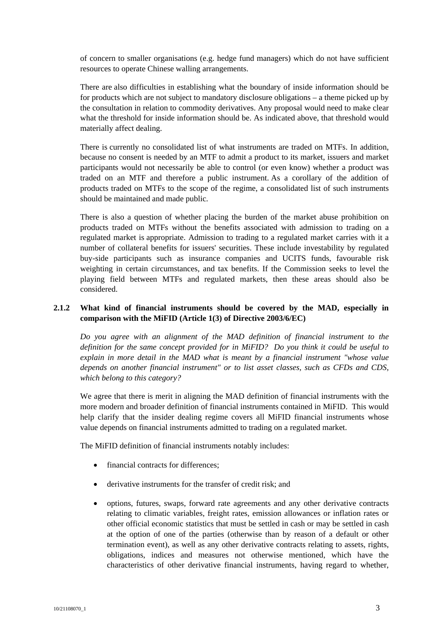of concern to smaller organisations (e.g. hedge fund managers) which do not have sufficient resources to operate Chinese walling arrangements.

There are also difficulties in establishing what the boundary of inside information should be for products which are not subject to mandatory disclosure obligations – a theme picked up by the consultation in relation to commodity derivatives. Any proposal would need to make clear what the threshold for inside information should be. As indicated above, that threshold would materially affect dealing.

There is currently no consolidated list of what instruments are traded on MTFs. In addition, because no consent is needed by an MTF to admit a product to its market, issuers and market participants would not necessarily be able to control (or even know) whether a product was traded on an MTF and therefore a public instrument. As a corollary of the addition of products traded on MTFs to the scope of the regime, a consolidated list of such instruments should be maintained and made public.

There is also a question of whether placing the burden of the market abuse prohibition on products traded on MTFs without the benefits associated with admission to trading on a regulated market is appropriate. Admission to trading to a regulated market carries with it a number of collateral benefits for issuers' securities. These include investability by regulated buy-side participants such as insurance companies and UCITS funds, favourable risk weighting in certain circumstances, and tax benefits. If the Commission seeks to level the playing field between MTFs and regulated markets, then these areas should also be considered.

# **2.1.2 What kind of financial instruments should be covered by the MAD, especially in comparison with the MiFID (Article 1(3) of Directive 2003/6/EC)**

*Do you agree with an alignment of the MAD definition of financial instrument to the definition for the same concept provided for in MiFID? Do you think it could be useful to explain in more detail in the MAD what is meant by a financial instrument "whose value depends on another financial instrument" or to list asset classes, such as CFDs and CDS, which belong to this category?* 

We agree that there is merit in aligning the MAD definition of financial instruments with the more modern and broader definition of financial instruments contained in MiFID. This would help clarify that the insider dealing regime covers all MiFID financial instruments whose value depends on financial instruments admitted to trading on a regulated market.

The MiFID definition of financial instruments notably includes:

- financial contracts for differences:
- derivative instruments for the transfer of credit risk; and
- options, futures, swaps, forward rate agreements and any other derivative contracts relating to climatic variables, freight rates, emission allowances or inflation rates or other official economic statistics that must be settled in cash or may be settled in cash at the option of one of the parties (otherwise than by reason of a default or other termination event), as well as any other derivative contracts relating to assets, rights, obligations, indices and measures not otherwise mentioned, which have the characteristics of other derivative financial instruments, having regard to whether,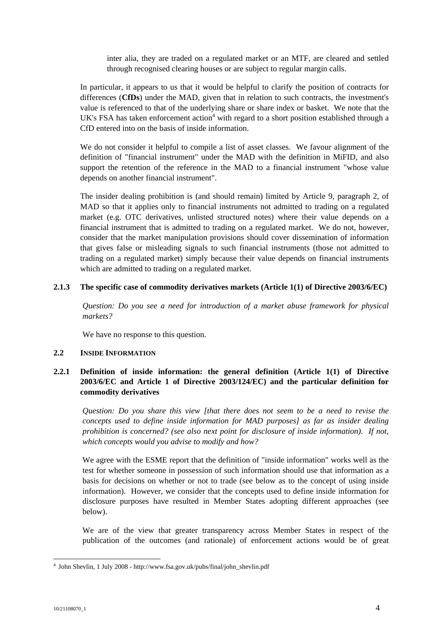inter alia, they are traded on a regulated market or an MTF, are cleared and settled through recognised clearing houses or are subject to regular margin calls.

In particular, it appears to us that it would be helpful to clarify the position of contracts for differences (**CfDs**) under the MAD, given that in relation to such contracts, the investment's value is referenced to that of the underlying share or share index or basket. We note that the UK's FSA has taken enforcement action<sup>[4](#page-3-0)</sup> with regard to a short position established through a CfD entered into on the basis of inside information.

We do not consider it helpful to compile a list of asset classes. We favour alignment of the definition of "financial instrument" under the MAD with the definition in MiFID, and also support the retention of the reference in the MAD to a financial instrument "whose value depends on another financial instrument".

The insider dealing prohibition is (and should remain) limited by Article 9, paragraph 2, of MAD so that it applies only to financial instruments not admitted to trading on a regulated market (e.g. OTC derivatives, unlisted structured notes) where their value depends on a financial instrument that is admitted to trading on a regulated market. We do not, however, consider that the market manipulation provisions should cover dissemination of information that gives false or misleading signals to such financial instruments (those not admitted to trading on a regulated market) simply because their value depends on financial instruments which are admitted to trading on a regulated market.

## **2.1.3 The specific case of commodity derivatives markets (Article 1(1) of Directive 2003/6/EC)**

*Question: Do you see a need for introduction of a market abuse framework for physical markets?* 

We have no response to this question.

### **2.2 INSIDE INFORMATION**

# **2.2.1 Definition of inside information: the general definition (Article 1(1) of Directive 2003/6/EC and Article 1 of Directive 2003/124/EC) and the particular definition for commodity derivatives**

*Question: Do you share this view [that there does not seem to be a need to revise the concepts used to define inside information for MAD purposes] as far as insider dealing prohibition is concerned? (see also next point for disclosure of inside information). If not, which concepts would you advise to modify and how?* 

We agree with the ESME report that the definition of "inside information" works well as the test for whether someone in possession of such information should use that information as a basis for decisions on whether or not to trade (see below as to the concept of using inside information). However, we consider that the concepts used to define inside information for disclosure purposes have resulted in Member States adopting different approaches (see below).

We are of the view that greater transparency across Member States in respect of the publication of the outcomes (and rationale) of enforcement actions would be of great

<span id="page-3-0"></span> <sup>4</sup> John Shevlin, 1 July 2008 - http://www.fsa.gov.uk/pubs/final/john\_shevlin.pdf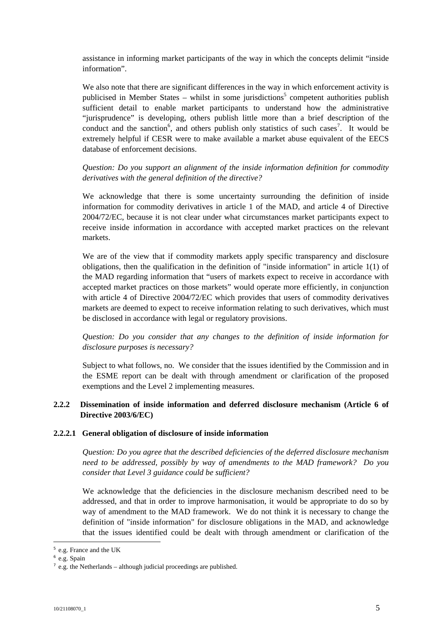assistance in informing market participants of the way in which the concepts delimit "inside information".

We also note that there are significant differences in the way in which enforcement activity is publicisedin Member States – whilst in some jurisdictions<sup>5</sup> competent authorities publish sufficient detail to enable market participants to understand how the administrative "jurisprudence" is developing, others publish little more than a brief description of the conduct and the sanction<sup>6</sup>[,](#page-4-1) and others publish only statistics of such cases<sup>7</sup>[.](#page-4-2) It would be extremely helpful if CESR were to make available a market abuse equivalent of the EECS database of enforcement decisions.

# *Question: Do you support an alignment of the inside information definition for commodity derivatives with the general definition of the directive?*

We acknowledge that there is some uncertainty surrounding the definition of inside information for commodity derivatives in article 1 of the MAD, and article 4 of Directive 2004/72/EC, because it is not clear under what circumstances market participants expect to receive inside information in accordance with accepted market practices on the relevant markets.

We are of the view that if commodity markets apply specific transparency and disclosure obligations, then the qualification in the definition of "inside information" in article 1(1) of the MAD regarding information that "users of markets expect to receive in accordance with accepted market practices on those markets" would operate more efficiently, in conjunction with article 4 of Directive 2004/72/EC which provides that users of commodity derivatives markets are deemed to expect to receive information relating to such derivatives, which must be disclosed in accordance with legal or regulatory provisions.

*Question: Do you consider that any changes to the definition of inside information for disclosure purposes is necessary?* 

Subject to what follows, no. We consider that the issues identified by the Commission and in the ESME report can be dealt with through amendment or clarification of the proposed exemptions and the Level 2 implementing measures.

# **2.2.2 Dissemination of inside information and deferred disclosure mechanism (Article 6 of Directive 2003/6/EC)**

## **2.2.2.1 General obligation of disclosure of inside information**

*Question: Do you agree that the described deficiencies of the deferred disclosure mechanism need to be addressed, possibly by way of amendments to the MAD framework? Do you consider that Level 3 guidance could be sufficient?* 

We acknowledge that the deficiencies in the disclosure mechanism described need to be addressed, and that in order to improve harmonisation, it would be appropriate to do so by way of amendment to the MAD framework. We do not think it is necessary to change the definition of "inside information" for disclosure obligations in the MAD, and acknowledge that the issues identified could be dealt with through amendment or clarification of the

<span id="page-4-0"></span> <sup>5</sup> e.g. France and the UK

<span id="page-4-1"></span><sup>6</sup> e.g. Spain

<span id="page-4-2"></span> $\frac{7}{2}$  e.g. the Netherlands – although judicial proceedings are published.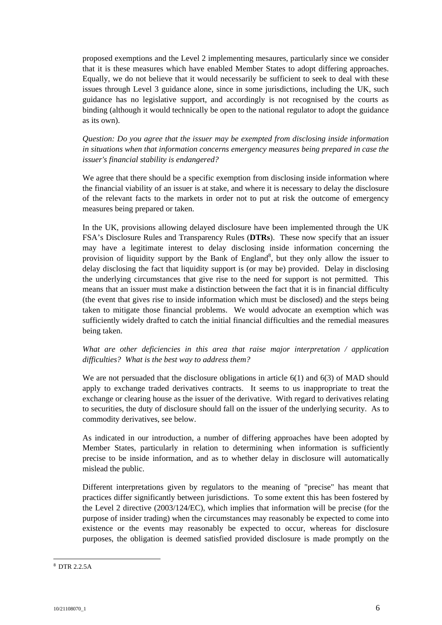proposed exemptions and the Level 2 implementing mesaures, particularly since we consider that it is these measures which have enabled Member States to adopt differing approaches. Equally, we do not believe that it would necessarily be sufficient to seek to deal with these issues through Level 3 guidance alone, since in some jurisdictions, including the UK, such guidance has no legislative support, and accordingly is not recognised by the courts as binding (although it would technically be open to the national regulator to adopt the guidance as its own).

*Question: Do you agree that the issuer may be exempted from disclosing inside information in situations when that information concerns emergency measures being prepared in case the issuer's financial stability is endangered?* 

We agree that there should be a specific exemption from disclosing inside information where the financial viability of an issuer is at stake, and where it is necessary to delay the disclosure of the relevant facts to the markets in order not to put at risk the outcome of emergency measures being prepared or taken.

In the UK, provisions allowing delayed disclosure have been implemented through the UK FSA's Disclosure Rules and Transparency Rules (**DTRs**). These now specify that an issuer may have a legitimate interest to delay disclosing inside information concerning the provision of liquidity support by the Bank of England<sup>[8](#page-5-0)</sup>, but they only allow the issuer to delay disclosing the fact that liquidity support is (or may be) provided. Delay in disclosing the underlying circumstances that give rise to the need for support is not permitted. This means that an issuer must make a distinction between the fact that it is in financial difficulty (the event that gives rise to inside information which must be disclosed) and the steps being taken to mitigate those financial problems. We would advocate an exemption which was sufficiently widely drafted to catch the initial financial difficulties and the remedial measures being taken.

*What are other deficiencies in this area that raise major interpretation / application difficulties? What is the best way to address them?* 

We are not persuaded that the disclosure obligations in article 6(1) and 6(3) of MAD should apply to exchange traded derivatives contracts. It seems to us inappropriate to treat the exchange or clearing house as the issuer of the derivative. With regard to derivatives relating to securities, the duty of disclosure should fall on the issuer of the underlying security. As to commodity derivatives, see below.

As indicated in our introduction, a number of differing approaches have been adopted by Member States, particularly in relation to determining when information is sufficiently precise to be inside information, and as to whether delay in disclosure will automatically mislead the public.

Different interpretations given by regulators to the meaning of "precise" has meant that practices differ significantly between jurisdictions. To some extent this has been fostered by the Level 2 directive (2003/124/EC), which implies that information will be precise (for the purpose of insider trading) when the circumstances may reasonably be expected to come into existence or the events may reasonably be expected to occur, whereas for disclosure purposes, the obligation is deemed satisfied provided disclosure is made promptly on the

<span id="page-5-0"></span> <sup>8</sup> DTR 2.2.5A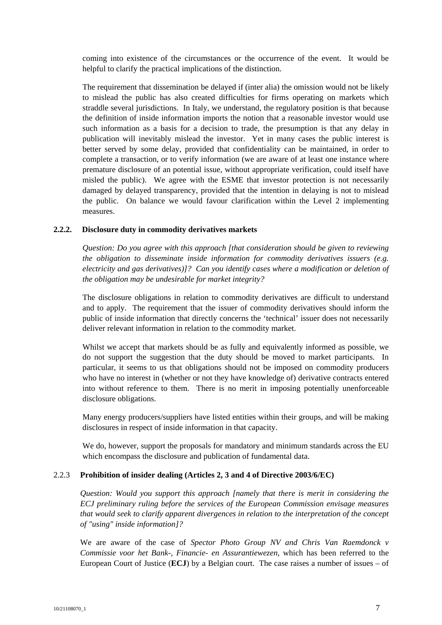coming into existence of the circumstances or the occurrence of the event. It would be helpful to clarify the practical implications of the distinction.

The requirement that dissemination be delayed if (inter alia) the omission would not be likely to mislead the public has also created difficulties for firms operating on markets which straddle several jurisdictions. In Italy, we understand, the regulatory position is that because the definition of inside information imports the notion that a reasonable investor would use such information as a basis for a decision to trade, the presumption is that any delay in publication will inevitably mislead the investor. Yet in many cases the public interest is better served by some delay, provided that confidentiality can be maintained, in order to complete a transaction, or to verify information (we are aware of at least one instance where premature disclosure of an potential issue, without appropriate verification, could itself have misled the public). We agree with the ESME that investor protection is not necessarily damaged by delayed transparency, provided that the intention in delaying is not to mislead the public. On balance we would favour clarification within the Level 2 implementing measures.

#### **2.2.2. Disclosure duty in commodity derivatives markets**

*Question: Do you agree with this approach [that consideration should be given to reviewing the obligation to disseminate inside information for commodity derivatives issuers (e.g. electricity and gas derivatives)]? Can you identify cases where a modification or deletion of the obligation may be undesirable for market integrity?* 

The disclosure obligations in relation to commodity derivatives are difficult to understand and to apply. The requirement that the issuer of commodity derivatives should inform the public of inside information that directly concerns the 'technical' issuer does not necessarily deliver relevant information in relation to the commodity market.

Whilst we accept that markets should be as fully and equivalently informed as possible, we do not support the suggestion that the duty should be moved to market participants. In particular, it seems to us that obligations should not be imposed on commodity producers who have no interest in (whether or not they have knowledge of) derivative contracts entered into without reference to them. There is no merit in imposing potentially unenforceable disclosure obligations.

Many energy producers/suppliers have listed entities within their groups, and will be making disclosures in respect of inside information in that capacity.

We do, however, support the proposals for mandatory and minimum standards across the EU which encompass the disclosure and publication of fundamental data.

## 2.2.3 **Prohibition of insider dealing (Articles 2, 3 and 4 of Directive 2003/6/EC)**

*Question: Would you support this approach [namely that there is merit in considering the ECJ preliminary ruling before the services of the European Commission envisage measures that would seek to clarify apparent divergences in relation to the interpretation of the concept of "using" inside information]?* 

We are aware of the case of *Spector Photo Group NV and Chris Van Raemdonck v Commissie voor het Bank-, Financie- en Assurantiewezen*, which has been referred to the European Court of Justice (**ECJ**) by a Belgian court. The case raises a number of issues – of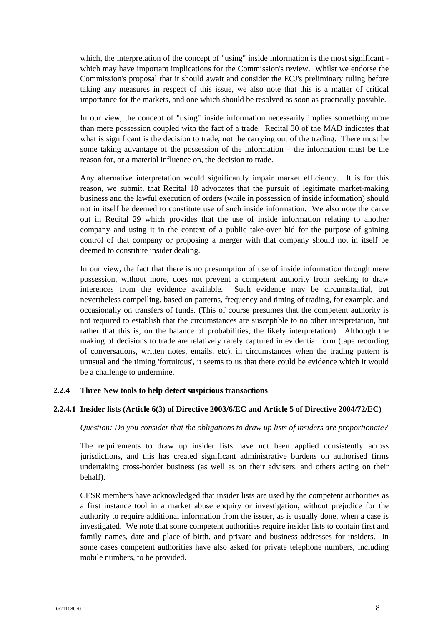which, the interpretation of the concept of "using" inside information is the most significant which may have important implications for the Commission's review. Whilst we endorse the Commission's proposal that it should await and consider the ECJ's preliminary ruling before taking any measures in respect of this issue, we also note that this is a matter of critical importance for the markets, and one which should be resolved as soon as practically possible.

In our view, the concept of "using" inside information necessarily implies something more than mere possession coupled with the fact of a trade. Recital 30 of the MAD indicates that what is significant is the decision to trade, not the carrying out of the trading. There must be some taking advantage of the possession of the information – the information must be the reason for, or a material influence on, the decision to trade.

Any alternative interpretation would significantly impair market efficiency. It is for this reason, we submit, that Recital 18 advocates that the pursuit of legitimate market-making business and the lawful execution of orders (while in possession of inside information) should not in itself be deemed to constitute use of such inside information. We also note the carve out in Recital 29 which provides that the use of inside information relating to another company and using it in the context of a public take-over bid for the purpose of gaining control of that company or proposing a merger with that company should not in itself be deemed to constitute insider dealing.

In our view, the fact that there is no presumption of use of inside information through mere possession, without more, does not prevent a competent authority from seeking to draw inferences from the evidence available. Such evidence may be circumstantial, but nevertheless compelling, based on patterns, frequency and timing of trading, for example, and occasionally on transfers of funds. (This of course presumes that the competent authority is not required to establish that the circumstances are susceptible to no other interpretation, but rather that this is, on the balance of probabilities, the likely interpretation). Although the making of decisions to trade are relatively rarely captured in evidential form (tape recording of conversations, written notes, emails, etc), in circumstances when the trading pattern is unusual and the timing 'fortuitous', it seems to us that there could be evidence which it would be a challenge to undermine.

## **2.2.4 Three New tools to help detect suspicious transactions**

#### **2.2.4.1 Insider lists (Article 6(3) of Directive 2003/6/EC and Article 5 of Directive 2004/72/EC)**

#### *Question: Do you consider that the obligations to draw up lists of insiders are proportionate?*

The requirements to draw up insider lists have not been applied consistently across jurisdictions, and this has created significant administrative burdens on authorised firms undertaking cross-border business (as well as on their advisers, and others acting on their behalf).

CESR members have acknowledged that insider lists are used by the competent authorities as a first instance tool in a market abuse enquiry or investigation, without prejudice for the authority to require additional information from the issuer, as is usually done, when a case is investigated. We note that some competent authorities require insider lists to contain first and family names, date and place of birth, and private and business addresses for insiders. In some cases competent authorities have also asked for private telephone numbers, including mobile numbers, to be provided.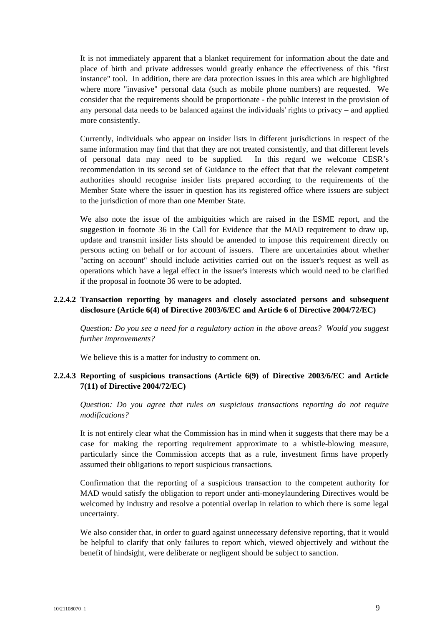It is not immediately apparent that a blanket requirement for information about the date and place of birth and private addresses would greatly enhance the effectiveness of this "first instance" tool. In addition, there are data protection issues in this area which are highlighted where more "invasive" personal data (such as mobile phone numbers) are requested. We consider that the requirements should be proportionate - the public interest in the provision of any personal data needs to be balanced against the individuals' rights to privacy – and applied more consistently.

Currently, individuals who appear on insider lists in different jurisdictions in respect of the same information may find that that they are not treated consistently, and that different levels of personal data may need to be supplied. In this regard we welcome CESR's recommendation in its second set of Guidance to the effect that that the relevant competent authorities should recognise insider lists prepared according to the requirements of the Member State where the issuer in question has its registered office where issuers are subject to the jurisdiction of more than one Member State.

We also note the issue of the ambiguities which are raised in the ESME report, and the suggestion in footnote 36 in the Call for Evidence that the MAD requirement to draw up, update and transmit insider lists should be amended to impose this requirement directly on persons acting on behalf or for account of issuers. There are uncertainties about whether "acting on account" should include activities carried out on the issuer's request as well as operations which have a legal effect in the issuer's interests which would need to be clarified if the proposal in footnote 36 were to be adopted.

## **2.2.4.2 Transaction reporting by managers and closely associated persons and subsequent disclosure (Article 6(4) of Directive 2003/6/EC and Article 6 of Directive 2004/72/EC)**

*Question: Do you see a need for a regulatory action in the above areas? Would you suggest further improvements?* 

We believe this is a matter for industry to comment on*.* 

# **2.2.4.3 Reporting of suspicious transactions (Article 6(9) of Directive 2003/6/EC and Article 7(11) of Directive 2004/72/EC)**

*Question: Do you agree that rules on suspicious transactions reporting do not require modifications?* 

It is not entirely clear what the Commission has in mind when it suggests that there may be a case for making the reporting requirement approximate to a whistle-blowing measure, particularly since the Commission accepts that as a rule, investment firms have properly assumed their obligations to report suspicious transactions.

Confirmation that the reporting of a suspicious transaction to the competent authority for MAD would satisfy the obligation to report under anti-moneylaundering Directives would be welcomed by industry and resolve a potential overlap in relation to which there is some legal uncertainty.

We also consider that, in order to guard against unnecessary defensive reporting, that it would be helpful to clarify that only failures to report which, viewed objectively and without the benefit of hindsight, were deliberate or negligent should be subject to sanction.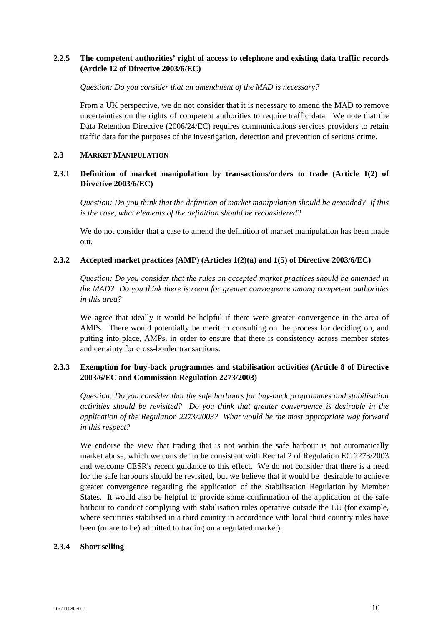# **2.2.5 The competent authorities' right of access to telephone and existing data traffic records (Article 12 of Directive 2003/6/EC)**

### *Question: Do you consider that an amendment of the MAD is necessary?*

From a UK perspective, we do not consider that it is necessary to amend the MAD to remove uncertainties on the rights of competent authorities to require traffic data. We note that the Data Retention Directive (2006/24/EC) requires communications services providers to retain traffic data for the purposes of the investigation, detection and prevention of serious crime.

#### **2.3 MARKET MANIPULATION**

## **2.3.1 Definition of market manipulation by transactions/orders to trade (Article 1(2) of Directive 2003/6/EC)**

*Question: Do you think that the definition of market manipulation should be amended? If this is the case, what elements of the definition should be reconsidered?* 

We do not consider that a case to amend the definition of market manipulation has been made out.

## **2.3.2 Accepted market practices (AMP) (Articles 1(2)(a) and 1(5) of Directive 2003/6/EC)**

*Question: Do you consider that the rules on accepted market practices should be amended in the MAD? Do you think there is room for greater convergence among competent authorities in this area?* 

We agree that ideally it would be helpful if there were greater convergence in the area of AMPs. There would potentially be merit in consulting on the process for deciding on, and putting into place, AMPs, in order to ensure that there is consistency across member states and certainty for cross-border transactions.

## **2.3.3 Exemption for buy-back programmes and stabilisation activities (Article 8 of Directive 2003/6/EC and Commission Regulation 2273/2003)**

*Question: Do you consider that the safe harbours for buy-back programmes and stabilisation activities should be revisited? Do you think that greater convergence is desirable in the application of the Regulation 2273/2003? What would be the most appropriate way forward in this respect?* 

We endorse the view that trading that is not within the safe harbour is not automatically market abuse, which we consider to be consistent with Recital 2 of Regulation EC 2273/2003 and welcome CESR's recent guidance to this effect. We do not consider that there is a need for the safe harbours should be revisited, but we believe that it would be desirable to achieve greater convergence regarding the application of the Stabilisation Regulation by Member States. It would also be helpful to provide some confirmation of the application of the safe harbour to conduct complying with stabilisation rules operative outside the EU (for example, where securities stabilised in a third country in accordance with local third country rules have been (or are to be) admitted to trading on a regulated market).

## **2.3.4 Short selling**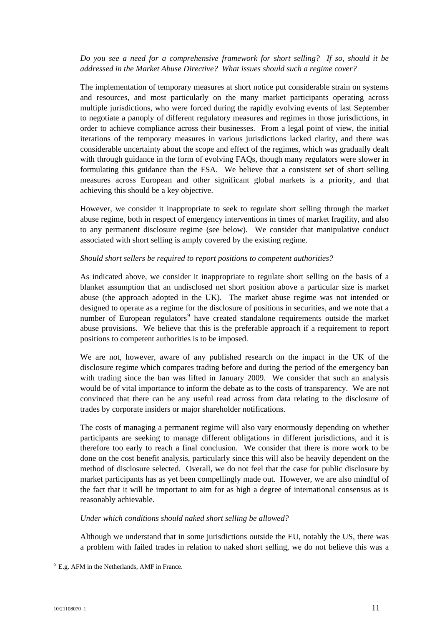## *Do you see a need for a comprehensive framework for short selling? If so, should it be addressed in the Market Abuse Directive? What issues should such a regime cover?*

The implementation of temporary measures at short notice put considerable strain on systems and resources, and most particularly on the many market participants operating across multiple jurisdictions, who were forced during the rapidly evolving events of last September to negotiate a panoply of different regulatory measures and regimes in those jurisdictions, in order to achieve compliance across their businesses. From a legal point of view, the initial iterations of the temporary measures in various jurisdictions lacked clarity, and there was considerable uncertainty about the scope and effect of the regimes, which was gradually dealt with through guidance in the form of evolving FAQs, though many regulators were slower in formulating this guidance than the FSA. We believe that a consistent set of short selling measures across European and other significant global markets is a priority, and that achieving this should be a key objective.

However, we consider it inappropriate to seek to regulate short selling through the market abuse regime, both in respect of emergency interventions in times of market fragility, and also to any permanent disclosure regime (see below). We consider that manipulative conduct associated with short selling is amply covered by the existing regime.

## *Should short sellers be required to report positions to competent authorities?*

As indicated above, we consider it inappropriate to regulate short selling on the basis of a blanket assumption that an undisclosed net short position above a particular size is market abuse (the approach adopted in the UK). The market abuse regime was not intended or designed to operate as a regime for the disclosure of positions in securities, and we note that a numberof European regulators<sup>9</sup> have created standalone requirements outside the market abuse provisions. We believe that this is the preferable approach if a requirement to report positions to competent authorities is to be imposed.

We are not, however, aware of any published research on the impact in the UK of the disclosure regime which compares trading before and during the period of the emergency ban with trading since the ban was lifted in January 2009. We consider that such an analysis would be of vital importance to inform the debate as to the costs of transparency. We are not convinced that there can be any useful read across from data relating to the disclosure of trades by corporate insiders or major shareholder notifications.

The costs of managing a permanent regime will also vary enormously depending on whether participants are seeking to manage different obligations in different jurisdictions, and it is therefore too early to reach a final conclusion. We consider that there is more work to be done on the cost benefit analysis, particularly since this will also be heavily dependent on the method of disclosure selected. Overall, we do not feel that the case for public disclosure by market participants has as yet been compellingly made out. However, we are also mindful of the fact that it will be important to aim for as high a degree of international consensus as is reasonably achievable.

## *Under which conditions should naked short selling be allowed?*

Although we understand that in some jurisdictions outside the EU, notably the US, there was a problem with failed trades in relation to naked short selling, we do not believe this was a

<span id="page-10-0"></span> <sup>9</sup> E.g. AFM in the Netherlands, AMF in France.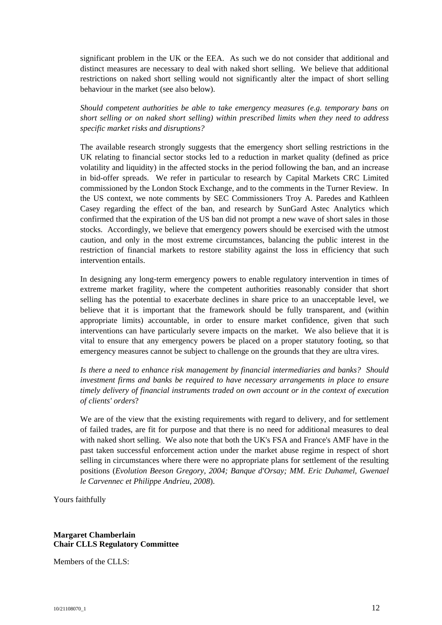significant problem in the UK or the EEA. As such we do not consider that additional and distinct measures are necessary to deal with naked short selling. We believe that additional restrictions on naked short selling would not significantly alter the impact of short selling behaviour in the market (see also below).

*Should competent authorities be able to take emergency measures (e.g. temporary bans on short selling or on naked short selling) within prescribed limits when they need to address specific market risks and disruptions?* 

The available research strongly suggests that the emergency short selling restrictions in the UK relating to financial sector stocks led to a reduction in market quality (defined as price volatility and liquidity) in the affected stocks in the period following the ban, and an increase in bid-offer spreads. We refer in particular to research by Capital Markets CRC Limited commissioned by the London Stock Exchange, and to the comments in the Turner Review. In the US context, we note comments by SEC Commissioners Troy A. Paredes and Kathleen Casey regarding the effect of the ban, and research by SunGard Astec Analytics which confirmed that the expiration of the US ban did not prompt a new wave of short sales in those stocks. Accordingly, we believe that emergency powers should be exercised with the utmost caution, and only in the most extreme circumstances, balancing the public interest in the restriction of financial markets to restore stability against the loss in efficiency that such intervention entails.

In designing any long-term emergency powers to enable regulatory intervention in times of extreme market fragility, where the competent authorities reasonably consider that short selling has the potential to exacerbate declines in share price to an unacceptable level, we believe that it is important that the framework should be fully transparent, and (within appropriate limits) accountable, in order to ensure market confidence, given that such interventions can have particularly severe impacts on the market. We also believe that it is vital to ensure that any emergency powers be placed on a proper statutory footing, so that emergency measures cannot be subject to challenge on the grounds that they are ultra vires.

*Is there a need to enhance risk management by financial intermediaries and banks? Should investment firms and banks be required to have necessary arrangements in place to ensure timely delivery of financial instruments traded on own account or in the context of execution of clients' orders*?

We are of the view that the existing requirements with regard to delivery, and for settlement of failed trades, are fit for purpose and that there is no need for additional measures to deal with naked short selling. We also note that both the UK's FSA and France's AMF have in the past taken successful enforcement action under the market abuse regime in respect of short selling in circumstances where there were no appropriate plans for settlement of the resulting positions (*Evolution Beeson Gregory, 2004; Banque d'Orsay; MM. Eric Duhamel, Gwenael le Carvennec et Philippe Andrieu, 2008*).

Yours faithfully

## **Margaret Chamberlain Chair CLLS Regulatory Committee**

Members of the CLLS: